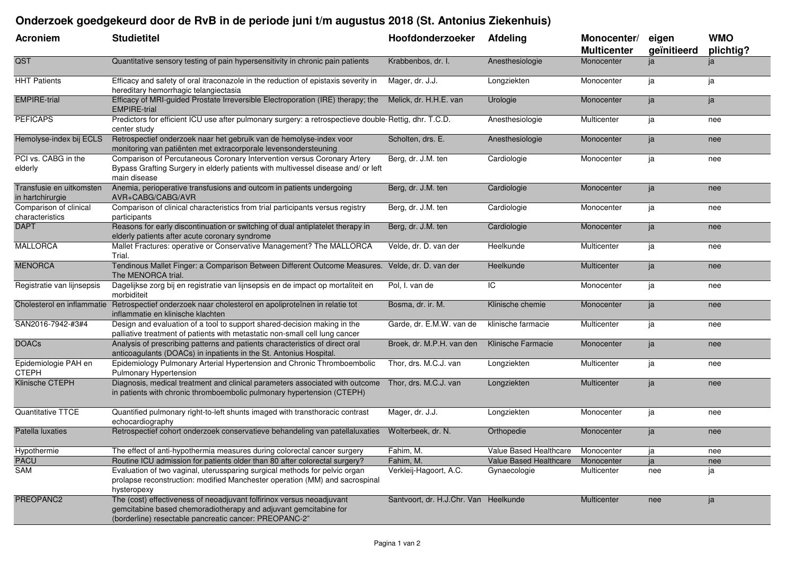## **Onderzoek goedgekeurd door de RvB in de periode juni t/m augustus 2018 (St. Antonius Ziekenhuis)**

| <b>Acroniem</b>                              | <b>Studietitel</b>                                                                                                                                                                                  | Hoofdonderzoeker                      | <b>Afdeling</b>                   | Monocenter/<br><b>Multicenter</b> | eigen<br>geïnitieerd | <b>WMO</b><br>plichtig? |
|----------------------------------------------|-----------------------------------------------------------------------------------------------------------------------------------------------------------------------------------------------------|---------------------------------------|-----------------------------------|-----------------------------------|----------------------|-------------------------|
| QST                                          | Quantitative sensory testing of pain hypersensitivity in chronic pain patients                                                                                                                      | Krabbenbos, dr. I.                    | Anesthesiologie                   | Monocenter                        | ja                   | ja                      |
| <b>HHT Patients</b>                          | Efficacy and safety of oral itraconazole in the reduction of epistaxis severity in<br>hereditary hemorrhagic telangiectasia                                                                         | Mager, dr. J.J.                       | Longziekten                       | Monocenter                        | ja                   | ja                      |
| <b>EMPIRE-trial</b>                          | Efficacy of MRI-guided Prostate Irreversible Electroporation (IRE) therapy; the<br><b>EMPIRE-trial</b>                                                                                              | Melick, dr. H.H.E. van                | Urologie                          | Monocenter                        | ja                   | ja                      |
| <b>PEFICAPS</b>                              | Predictors for efficient ICU use after pulmonary surgery: a retrospectieve double Rettig, dhr. T.C.D.<br>center study                                                                               |                                       | Anesthesiologie                   | Multicenter                       | ja                   | nee                     |
| Hemolyse-index bij ECLS                      | Retrospectief onderzoek naar het gebruik van de hemolyse-index voor<br>monitoring van patiënten met extracorporale levensondersteuning                                                              | Scholten, drs. E.                     | Anesthesiologie                   | Monocenter                        | ja                   | nee                     |
| PCI vs. CABG in the<br>elderly               | Comparison of Percutaneous Coronary Intervention versus Coronary Artery<br>Bypass Grafting Surgery in elderly patients with multivessel disease and/ or left<br>main disease                        | Berg, dr. J.M. ten                    | Cardiologie                       | Monocenter                        | ja                   | nee                     |
| Transfusie en uitkomsten<br>in hartchirurgie | Anemia, perioperative transfusions and outcom in patients undergoing<br>AVR+CABG/CABG/AVR                                                                                                           | Berg, dr. J.M. ten                    | Cardiologie                       | Monocenter                        | ja                   | nee                     |
| Comparison of clinical<br>characteristics    | Comparison of clinical characteristics from trial participants versus registry<br>participants                                                                                                      | Berg, dr. J.M. ten                    | Cardiologie                       | Monocenter                        | ja                   | nee                     |
| <b>DAPT</b>                                  | Reasons for early discontinuation or switching of dual antiplatelet therapy in<br>elderly patients after acute coronary syndrome                                                                    | Berg, dr. J.M. ten                    | Cardiologie                       | Monocenter                        | ja                   | nee                     |
| <b>MALLORCA</b>                              | Mallet Fractures: operative or Conservative Management? The MALLORCA<br>Trial.                                                                                                                      | Velde, dr. D. van der                 | Heelkunde                         | Multicenter                       | ja                   | nee                     |
| <b>MENORCA</b>                               | Tendinous Mallet Finger: a Comparison Between Different Outcome Measures.<br>The MENORCA trial.                                                                                                     | Velde, dr. D. van der                 | Heelkunde                         | Multicenter                       | ja                   | nee                     |
| Registratie van lijnsepsis                   | Dagelijkse zorg bij en registratie van lijnsepsis en de impact op mortaliteit en<br>morbiditeit                                                                                                     | Pol, I. van de                        | IC                                | Monocenter                        | ja                   | nee                     |
| Cholesterol en inflammatie                   | Retrospectief onderzoek naar cholesterol en apoliproteïnen in relatie tot<br>inflammatie en klinische klachten                                                                                      | Bosma, dr. ir. M.                     | Klinische chemie                  | Monocenter                        | ja                   | nee                     |
| SAN2016-7942-#3#4                            | Design and evaluation of a tool to support shared-decision making in the<br>palliative treatment of patients with metastatic non-small cell lung cancer                                             | Garde, dr. E.M.W. van de              | klinische farmacie                | Multicenter                       | ja                   | nee                     |
| <b>DOACs</b>                                 | Analysis of prescribing patterns and patients characteristics of direct oral<br>anticoagulants (DOACs) in inpatients in the St. Antonius Hospital.                                                  | Broek, dr. M.P.H. van den             | Klinische Farmacie                | Monocenter                        | ja                   | nee                     |
| Epidemiologie PAH en<br><b>CTEPH</b>         | Epidemiology Pulmonary Arterial Hypertension and Chronic Thromboembolic<br><b>Pulmonary Hypertension</b>                                                                                            | Thor, drs. M.C.J. van                 | Longziekten                       | Multicenter                       | ja                   | nee                     |
| Klinische CTEPH                              | Diagnosis, medical treatment and clinical parameters associated with outcome<br>in patients with chronic thromboembolic pulmonary hypertension (CTEPH)                                              | Thor, drs. M.C.J. van                 | Longziekten                       | Multicenter                       | ja                   | nee                     |
| Quantitative TTCE                            | Quantified pulmonary right-to-left shunts imaged with transthoracic contrast<br>echocardiography                                                                                                    | Mager, dr. J.J.                       | Longziekten                       | Monocenter                        | ja                   | nee                     |
| Patella luxaties                             | Retrospectief cohort onderzoek conservatieve behandeling van patellaluxaties                                                                                                                        | Wolterbeek, dr. N.                    | Orthopedie                        | Monocenter                        | ja                   | nee                     |
| Hypothermie                                  | The effect of anti-hypothermia measures during colorectal cancer surgery                                                                                                                            | Fahim, M.                             | Value Based Healthcare            | Monocenter                        | ja                   | nee                     |
| PACU                                         | Routine ICU admission for patients older than 80 after colorectal surgery?                                                                                                                          | Fahim, M.                             | Value Based Healthcare Monocenter |                                   | ja                   | nee                     |
| SAM                                          | Evaluation of two vaginal, uterussparing surgical methods for pelvic organ<br>prolapse reconstruction: modified Manchester operation (MM) and sacrospinal<br>hysteropexy                            | Verkleij-Hagoort, A.C.                | Gynaecologie                      | Multicenter                       | nee                  | ja                      |
| PREOPANC2                                    | The (cost) effectiveness of neoadjuvant folfirinox versus neoadjuvant<br>gemcitabine based chemoradiotherapy and adjuvant gemcitabine for<br>(borderline) resectable pancreatic cancer: PREOPANC-2" | Santvoort, dr. H.J.Chr. Van Heelkunde |                                   | Multicenter                       | nee                  | ja                      |